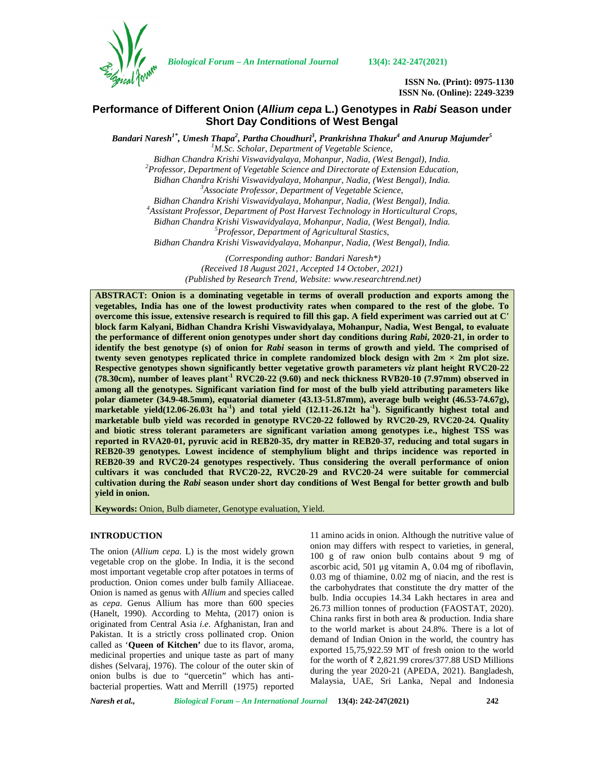

*Biological Forum – An International Journal* **13(4): 242-247(2021)**

**ISSN No. (Print): 0975-1130 ISSN No. (Online): 2249-3239**

# **Performance of Different Onion (***Allium cepa***L.) Genotypes in** *Rabi* **Season under Short Day Conditions of West Bengal**

*Bandari Naresh1\* , Umesh Thapa<sup>2</sup> , Partha Choudhuri<sup>3</sup> , Prankrishna Thakur<sup>4</sup> and Anurup Majumder<sup>5</sup>*

*<sup>1</sup>M.Sc. Scholar, Department of Vegetable Science,*

*Bidhan Chandra Krishi Viswavidyalaya, Mohanpur, Nadia, (West Bengal), India. <sup>2</sup>Professor, Department of Vegetable Science and Directorate of Extension Education,*

*Bidhan Chandra Krishi Viswavidyalaya, Mohanpur, Nadia, (West Bengal), India. <sup>3</sup>Associate Professor, Department of Vegetable Science,*

*Bidhan Chandra Krishi Viswavidyalaya, Mohanpur, Nadia, (West Bengal), India. <sup>4</sup>Assistant Professor, Department of Post Harvest Technology in Horticultural Crops,*

*Bidhan Chandra Krishi Viswavidyalaya, Mohanpur, Nadia, (West Bengal), India. <sup>5</sup>Professor, Department of Agricultural Stastics,*

*Bidhan Chandra Krishi Viswavidyalaya, Mohanpur, Nadia, (West Bengal), India.*

*(Corresponding author: Bandari Naresh\*) (Received 18 August 2021, Accepted 14 October, 2021) (Published by Research Trend, Website: [www.researchtrend.net\)](www.researchtrend.net)*

**ABSTRACT: Onion is a dominating vegetable in terms of overall production and exports among the vegetables, India has one of the lowest productivity rates when compared to the rest of the globe. To overcome this issue, extensive research is required to fill this gap. A field experiment was carried out at C' block farm Kalyani, Bidhan Chandra Krishi Viswavidyalaya, Mohanpur, Nadia, West Bengal, to evaluate the performance of different onion genotypes under short day conditions during** *Rabi***, 2020-21, in order to identify the best genotype (s) of onion for** *Rabi* **season in terms of growth and yield. The comprised of twenty seven genotypes replicated thrice in complete randomized block design with**  $2m \times 2m$  **plot size. Respective genotypes shown significantly better vegetative growth parameters** *viz* **plant height RVC20-22 (78.30cm), number of leaves plant-1 RVC20-22 (9.60) and neck thickness RVB20-10 (7.97mm) observed in among all the genotypes. Significant variation find for most of the bulb yield attributing parameters like polar diameter (34.9-48.5mm), equatorial diameter (43.13-51.87mm), average bulb weight (46.53-74.67g), marketable yield(12.06-26.03t ha-1) and total yield (12.11-26.12t ha-1). Significantly highest total and marketable bulb yield was recorded in genotype RVC20-22 followed by RVC20-29, RVC20-24. Quality and biotic stress tolerant parameters are significant variation among genotypes i.e., highest TSS was reported in RVA20-01, pyruvic acid in REB20-35, dry matter in REB20-37, reducing and total sugars in REB20-39 genotypes. Lowest incidence of stemphylium blight and thrips incidence was reported in REB20-39 and RVC20-24 genotypes respectively. Thus considering the overall performance of onion cultivars it was concluded that RVC20-22, RVC20-29 and RVC20-24 were suitable for commercial cultivation during the** *Rabi* **season under short day conditions of West Bengal for better growth and bulb yield in onion.**

**Keywords:** Onion, Bulb diameter, Genotype evaluation, Yield.

# **INTRODUCTION**

The onion (*Allium cepa*. L) is the most widely grown vegetable crop on the globe. In India, it is the second most important vegetable crop after potatoes in terms of production. Onion comes under bulb family Alliaceae. Onion is named as genus with *Allium* and species called as *cepa*. Genus Allium has more than 600 species (Hanelt, 1990). According to Mehta, (2017) onion is originated from Central Asia *i.e*. Afghanistan, Iran and Pakistan. It is a strictly cross pollinated crop. Onion called as '**Queen of Kitchen'** due to its flavor, aroma, medicinal properties and unique taste as part of many dishes (Selvaraj, 1976). The colour of the outer skin of onion bulbs is due to "quercetin" which has anti bacterial properties. Watt and Merrill (1975) reported

11 amino acids in onion. Although the nutritive value of onion may differs with respect to varieties, in general, 100 g of raw onion bulb contains about 9 mg of ascorbic acid, 501 μg vitamin A, 0.04 mg of riboflavin, 0.03 mg of thiamine, 0.02 mg of niacin, and the rest is the carbohydrates that constitute the dry matter of the bulb. India occupies 14.34 Lakh hectares in area and 26.73 million tonnes of production (FAOSTAT, 2020). China ranks first in both area & production. India share to the world market is about 24.8%. There is a lot of demand of Indian Onion in the world, the country has exported 15,75,922.59 MT of fresh onion to the world for the worth of  $\bar{\tau}$  2,821.99 crores/377.88 USD Millions during the year 2020-21 (APEDA, 2021). Bangladesh, Malaysia, UAE, Sri Lanka, Nepal and Indonesia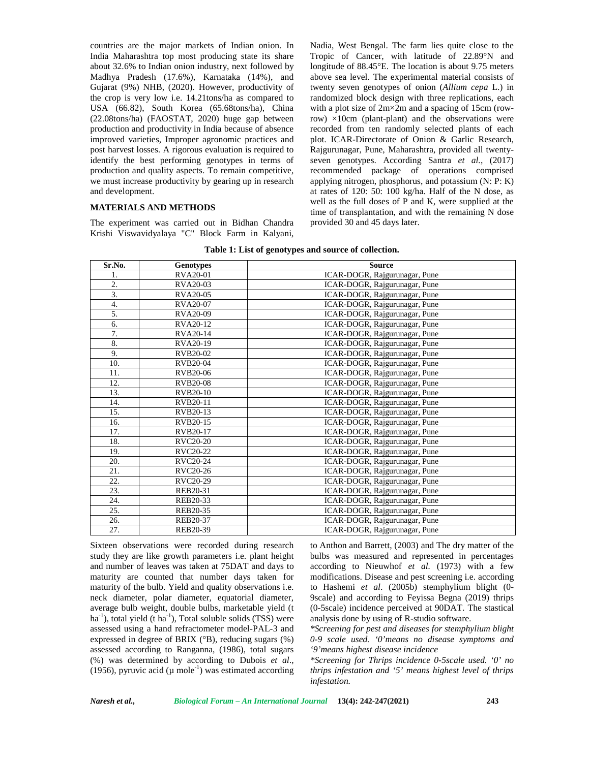countries are the major markets of Indian onion. In India Maharashtra top most producing state its share about 32.6% to Indian onion industry, next followed by Madhya Pradesh (17.6%), Karnataka (14%), and Gujarat (9%) NHB, (2020). However, productivity of the crop is very low i.e. 14.21tons/ha as compared to USA (66.82), South Korea (65.68tons/ha), China (22.08tons/ha) (FAOSTAT, 2020) huge gap between production and productivity in India because of absence improved varieties, Improper agronomic practices and post harvest losses. A rigorous evaluation is required to identify the best performing genotypes in terms of production and quality aspects. To remain competitive, we must increase productivity by gearing up in research and development.

## **MATERIALS AND METHODS**

The experiment was carried out in Bidhan Chandra Krishi Viswavidyalaya "C" Block Farm in Kalyani, Nadia, West Bengal. The farm lies quite close to the Tropic of Cancer, with latitude of 22.89°N and longitude of 88.45°E. The location is about 9.75 meters above sea level. The experimental material consists of twenty seven genotypes of onion (*Allium cepa* L.) in randomized block design with three replications, each with a plot size of 2m×2m and a spacing of 15cm (rowrow)  $\times$ 10cm (plant-plant) and the observations were recorded from ten randomly selected plants of each plot. ICAR-Directorate of Onion & Garlic Research, Rajgurunagar, Pune, Maharashtra, provided all twenty seven genotypes. According Santra *et al.*, (2017) recommended package of operations comprised applying nitrogen, phosphorus, and potassium (N: P: K) at rates of 120: 50: 100 kg/ha. Half of the N dose, as well as the full doses of P and K, were supplied at the time of transplantation, and with the remaining N dose provided 30 and 45 days later.

| Sr.No. | <b>Genotypes</b> | <b>Source</b>                 |
|--------|------------------|-------------------------------|
| 1.     | <b>RVA20-01</b>  | ICAR-DOGR, Rajgurunagar, Pune |
| 2.     | RVA20-03         | ICAR-DOGR, Rajgurunagar, Pune |
| 3.     | RVA20-05         | ICAR-DOGR, Rajgurunagar, Pune |
| 4.     | RVA20-07         | ICAR-DOGR, Rajgurunagar, Pune |
| 5.     | RVA20-09         | ICAR-DOGR, Rajgurunagar, Pune |
| 6.     | RVA20-12         | ICAR-DOGR, Rajgurunagar, Pune |
| 7.     | RVA20-14         | ICAR-DOGR, Rajgurunagar, Pune |
| 8.     | RVA20-19         | ICAR-DOGR, Rajgurunagar, Pune |
| 9.     | RVB20-02         | ICAR-DOGR, Rajgurunagar, Pune |
| 10.    | RVB20-04         | ICAR-DOGR, Rajgurunagar, Pune |
| 11.    | RVB20-06         | ICAR-DOGR, Rajgurunagar, Pune |
| 12.    | <b>RVB20-08</b>  | ICAR-DOGR, Rajgurunagar, Pune |
| 13.    | RVB20-10         | ICAR-DOGR, Rajgurunagar, Pune |
| 14.    | RVB20-11         | ICAR-DOGR, Rajgurunagar, Pune |
| 15.    | RVB20-13         | ICAR-DOGR, Rajgurunagar, Pune |
| 16.    | RVB20-15         | ICAR-DOGR, Rajgurunagar, Pune |
| 17.    | RVB20-17         | ICAR-DOGR, Rajgurunagar, Pune |
| 18.    | <b>RVC20-20</b>  | ICAR-DOGR, Rajgurunagar, Pune |
| 19.    | RVC20-22         | ICAR-DOGR, Rajgurunagar, Pune |
| 20.    | RVC20-24         | ICAR-DOGR, Rajgurunagar, Pune |
| 21.    | RVC20-26         | ICAR-DOGR, Rajgurunagar, Pune |
| 22.    | RVC20-29         | ICAR-DOGR, Rajgurunagar, Pune |
| 23.    | REB20-31         | ICAR-DOGR, Rajgurunagar, Pune |
| 24.    | REB20-33         | ICAR-DOGR, Rajgurunagar, Pune |
| 25.    | REB20-35         | ICAR-DOGR, Rajgurunagar, Pune |
| 26.    | REB20-37         | ICAR-DOGR, Rajgurunagar, Pune |
| 27.    | REB20-39         | ICAR-DOGR, Rajgurunagar, Pune |

| Table 1: List of genotypes and source of collection. |  |
|------------------------------------------------------|--|
|------------------------------------------------------|--|

Sixteen observations were recorded during research study they are like growth parameters i.e. plant height and number of leaves was taken at 75DAT and days to maturity are counted that number days taken for maturity of the bulb. Yield and quality observations i.e. neck diameter, polar diameter, equatorial diameter, average bulb weight, double bulbs, marketable yield (t  $ha^{-1}$ ), total yield (t  $ha^{-1}$ ), Total soluble solids (TSS) were assessed using a hand refractometer model-PAL-3 and expressed in degree of BRIX (°B), reducing sugars (%) assessed according to Ranganna, (1986), total sugars (%) was determined by according to Dubois *et al*., (1956), pyruvic acid ( $\mu$  mole<sup>-1</sup>) was estimated according

to Anthon and Barrett, (2003) and The dry matter of the bulbs was measured and represented in percentages according to Nieuwhof *et al.* (1973) with a few modifications. Disease and pest screening i.e. according to Hashemi *et al*. (2005b) stemphylium blight (0- 9scale) and according to Feyissa Begna (2019) thrips (0-5scale) incidence perceived at 90DAT. The stastical analysis done by using of R-studio software.

*\*Screening for pest and diseases for stemphylium blight 0-9 scale used. '0'means no disease symptoms and '9'means highest disease incidence*

*\*Screening for Thrips incidence 0-5scale used. '0' no thrips infestation and '5' means highest level of thrips infestation.*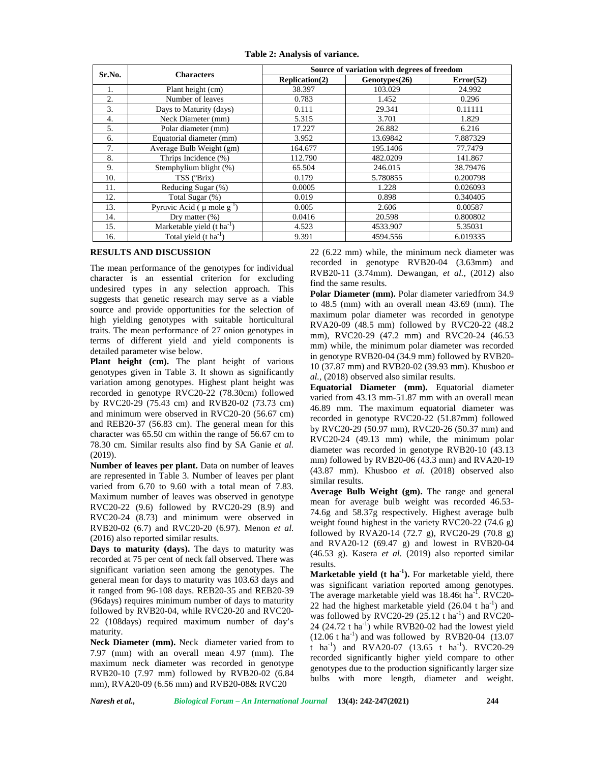| Sr.No. |                                             | Source of variation with degrees of freedom |               |           |  |  |  |
|--------|---------------------------------------------|---------------------------------------------|---------------|-----------|--|--|--|
|        | <b>Characters</b>                           | Replication(2)                              | Genotypes(26) | Error(52) |  |  |  |
| 1.     | Plant height (cm)                           | 38.397                                      | 103.029       | 24.992    |  |  |  |
| 2.     | Number of leaves                            | 0.783                                       | 1.452         | 0.296     |  |  |  |
| 3.     | Days to Maturity (days)                     | 0.111                                       | 29.341        | 0.11111   |  |  |  |
| 4.     | Neck Diameter (mm)                          | 5.315                                       | 3.701         | 1.829     |  |  |  |
| 5.     | Polar diameter (mm)                         | 17.227                                      | 26.882        | 6.216     |  |  |  |
| 6.     | Equatorial diameter (mm)                    | 3.952                                       | 13.69842      | 7.887329  |  |  |  |
| 7.     | Average Bulb Weight (gm)                    | 195.1406<br>164.677                         |               | 77.7479   |  |  |  |
| 8.     | Thrips Incidence (%)                        | 112.790                                     | 482.0209      | 141.867   |  |  |  |
| 9.     | Stemphylium blight (%)                      | 65.504<br>246.015                           |               | 38.79476  |  |  |  |
| 10.    | TSS (°Brix)                                 | 5.780855<br>0.179                           |               | 0.200798  |  |  |  |
| 11.    | Reducing Sugar (%)                          | 0.0005                                      | 1.228         | 0.026093  |  |  |  |
| 12.    | Total Sugar (%)                             | 0.898<br>0.019                              |               | 0.340405  |  |  |  |
| 13.    | Pyruvic Acid ( $\mu$ mole g <sup>-1</sup> ) | 0.005                                       | 2.606         | 0.00587   |  |  |  |
| 14.    | Dry matter $(\%)$                           | 20.598<br>0.0416                            |               | 0.800802  |  |  |  |
| 15.    | Marketable yield $(t \text{ ha}^{-1})$      | 4.523                                       | 4533.907      | 5.35031   |  |  |  |
| 16.    | Total yield $(t \text{ ha}^{-1})$           | 9.391                                       | 4594.556      | 6.019335  |  |  |  |

**Table 2: Analysis of variance.**

## **RESULTS AND DISCUSSION**

The mean performance of the genotypes for individual character is an essential criterion for excluding undesired types in any selection approach. This suggests that genetic research may serve as a viable source and provide opportunities for the selection of high yielding genotypes with suitable horticultural traits. The mean performance of 27 onion genotypes in terms of different yield and yield components is detailed parameter wise below.

Plant height (cm). The plant height of various genotypes given in Table 3. It shown as significantly variation among genotypes. Highest plant height was recorded in genotype RVC20-22 (78.30cm) followed by RVC20-29 (75.43 cm) and RVB20-02 (73.73 cm) and minimum were observed in RVC20-20 (56.67 cm) and REB20-37 (56.83 cm). The general mean for this character was 65.50 cm within the range of 56.67 cm to 78.30 cm. Similar results also find by SA Ganie *et al.* (2019).

**Number of leaves per plant.** Data on number of leaves are represented in Table 3. Number of leaves per plant varied from 6.70 to 9.60 with a total mean of 7.83. Maximum number of leaves was observed in genotype RVC20-22 (9.6) followed by RVC20-29 (8.9) and RVC20-24 (8.73) and minimum were observed in RVB20-02 (6.7) and RVC20-20 (6.97). Menon *et al.* (2016) also reported similar results.

**Days to maturity (days).** The days to maturity was recorded at 75 per cent of neck fall observed. There was significant variation seen among the genotypes. The general mean for days to maturity was 103.63 days and it ranged from 96-108 days. REB20-35 and REB20-39 (96days) requires minimum number of days to maturity followed by RVB20-04, while RVC20-20 and RVC20- 22 (108days) required maximum number of day's maturity.

**Neck Diameter (mm).** Neck diameter varied from to 7.97 (mm) with an overall mean 4.97 (mm). The maximum neck diameter was recorded in genotype RVB20-10 (7.97 mm) followed by RVB20-02 (6.84 mm), RVA20-09 (6.56 mm) and RVB20-08& RVC20

22 (6.22 mm) while, the minimum neck diameter was recorded in genotype RVB20-04 (3.63mm) and RVB20-11 (3.74mm). Dewangan, *et al.,* (2012) also find the same results.

**Polar Diameter (mm).** Polar diameter variedfrom 34.9 to 48.5 (mm) with an overall mean 43.69 (mm). The maximum polar diameter was recorded in genotype RVA20-09 (48.5 mm) followed by RVC20-22 (48.2 mm), RVC20-29 (47.2 mm) and RVC20-24 (46.53 mm) while, the minimum polar diameter was recorded in genotype RVB20-04 (34.9 mm) followed by RVB20- 10 (37.87 mm) and RVB20-02 (39.93 mm). Khusboo *et al.,* (2018) observed also similar results.

**Equatorial Diameter (mm).** Equatorial diameter varied from 43.13 mm-51.87 mm with an overall mean 46.89 mm. The maximum equatorial diameter was recorded in genotype RVC20-22 (51.87mm) followed by RVC20-29 (50.97 mm), RVC20-26 (50.37 mm) and RVC20-24 (49.13 mm) while, the minimum polar diameter was recorded in genotype RVB20-10 (43.13 mm) followed by RVB20-06 (43.3 mm) and RVA20-19 (43.87 mm). Khusboo *et al.* (2018) observed also similar results.

**Average Bulb Weight (gm).** The range and general mean for average bulb weight was recorded 46.53- 74.6g and 58.37g respectively. Highest average bulb weight found highest in the variety RVC20-22 (74.6 g) followed by RVA20-14 (72.7 g), RVC20-29 (70.8 g) and RVA20-12 (69.47 g) and lowest in RVB20-04 (46.53 g). Kasera *et al.* (2019) also reported similar results.

**Marketable yield (t ha-1).** For marketable yield, there was significant variation reported among genotypes. The average marketable yield was  $18.46t$  ha<sup>-T</sup>. RVC20-22 had the highest marketable yield  $(26.04 \text{ t} \text{ ha}^{-1})$  and was followed by RVC20-29  $(25.12 \text{ t} \text{ ha}^{-1})$  and RVC20-24  $(24.72 \text{ t} \text{ ha}^{-1})$  while RVB20-02 had the lowest yield  $(12.06 \text{ t} \text{ ha}^{-1})$  and was followed by RVB20-04  $(13.07)$ t ha<sup>-1</sup>) and RVA20-07 (13.65 t ha<sup>-1</sup>). RVC20-29 recorded significantly higher yield compare to other genotypes due to the production significantly larger size bulbs with more length, diameter and weight.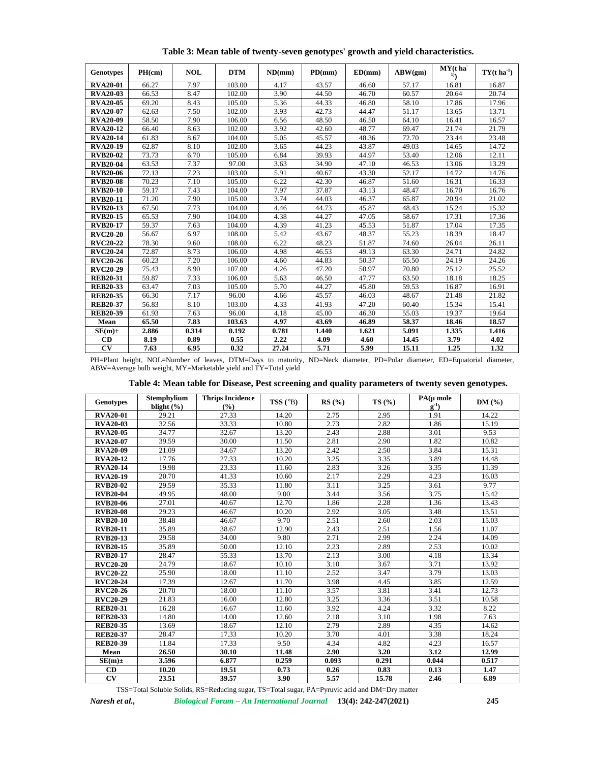| <b>Genotypes</b>    | PH(cm) | <b>NOL</b> | <b>DTM</b> | ND/mm) | PD(mm) | ED(mm) | ABW(gm) | $MY(t)$ ha<br>1) | $TY(t \, ha^{-1})$ |
|---------------------|--------|------------|------------|--------|--------|--------|---------|------------------|--------------------|
| <b>RVA20-01</b>     | 66.27  | 7.97       | 103.00     | 4.17   | 43.57  | 46.60  | 57.17   | 16.81            | 16.87              |
| <b>RVA20-03</b>     | 66.53  | 8.47       | 102.00     | 3.90   | 44.50  | 46.70  | 60.57   | 20.64            | 20.74              |
| <b>RVA20-05</b>     | 69.20  | 8.43       | 105.00     | 5.36   | 44.33  | 46.80  | 58.10   | 17.86            | 17.96              |
| <b>RVA20-07</b>     | 62.63  | 7.50       | 102.00     | 3.93   | 42.73  | 44.47  | 51.17   | 13.65            | 13.71              |
| <b>RVA20-09</b>     | 58.50  | 7.90       | 106.00     | 6.56   | 48.50  | 46.50  | 64.10   | 16.41            | 16.57              |
| <b>RVA20-12</b>     | 66.40  | 8.63       | 102.00     | 3.92   | 42.60  | 48.77  | 69.47   | 21.74            | 21.79              |
| <b>RVA20-14</b>     | 61.83  | 8.67       | 104.00     | 5.05   | 45.57  | 48.36  | 72.70   | 23.44            | 23.48              |
| <b>RVA20-19</b>     | 62.87  | 8.10       | 102.00     | 3.65   | 44.23  | 43.87  | 49.03   | 14.65            | 14.72              |
| <b>RVB20-02</b>     | 73.73  | 6.70       | 105.00     | 6.84   | 39.93  | 44.97  | 53.40   | 12.06            | 12.11              |
| <b>RVB20-04</b>     | 63.53  | 7.37       | 97.00      | 3.63   | 34.90  | 47.10  | 46.53   | 13.06            | 13.29              |
| <b>RVB20-06</b>     | 72.13  | 7.23       | 103.00     | 5.91   | 40.67  | 43.30  | 52.17   | 14.72            | 14.76              |
| <b>RVB20-08</b>     | 70.23  | 7.10       | 105.00     | 6.22   | 42.30  | 46.87  | 51.60   | 16.31            | 16.33              |
| <b>RVB20-10</b>     | 59.17  | 7.43       | 104.00     | 7.97   | 37.87  | 43.13  | 48.47   | 16.70            | 16.76              |
| <b>RVB20-11</b>     | 71.20  | 7.90       | 105.00     | 3.74   | 44.03  | 46.37  | 65.87   | 20.94            | 21.02              |
| <b>RVB20-13</b>     | 67.50  | 7.73       | 104.00     | 4.46   | 44.73  | 45.87  | 48.43   | 15.24            | 15.32              |
| <b>RVB20-15</b>     | 65.53  | 7.90       | 104.00     | 4.38   | 44.27  | 47.05  | 58.67   | 17.31            | 17.36              |
| <b>RVB20-17</b>     | 59.37  | 7.63       | 104.00     | 4.39   | 41.23  | 45.53  | 51.87   | 17.04            | 17.35              |
| <b>RVC20-20</b>     | 56.67  | 6.97       | 108.00     | 5.42   | 43.67  | 48.37  | 55.23   | 18.39            | 18.47              |
| <b>RVC20-22</b>     | 78.30  | 9.60       | 108.00     | 6.22   | 48.23  | 51.87  | 74.60   | 26.04            | 26.11              |
| <b>RVC20-24</b>     | 72.87  | 8.73       | 106.00     | 4.98   | 46.53  | 49.13  | 63.30   | 24.71            | 24.82              |
| <b>RVC20-26</b>     | 60.23  | 7.20       | 106.00     | 4.60   | 44.83  | 50.37  | 65.50   | 24.19            | 24.26              |
| <b>RVC20-29</b>     | 75.43  | 8.90       | 107.00     | 4.26   | 47.20  | 50.97  | 70.80   | 25.12            | 25.52              |
| <b>REB20-31</b>     | 59.87  | 7.33       | 106.00     | 5.63   | 46.50  | 47.77  | 63.50   | 18.18            | 18.25              |
| <b>REB20-33</b>     | 63.47  | 7.03       | 105.00     | 5.70   | 44.27  | 45.80  | 59.53   | 16.87            | 16.91              |
| <b>REB20-35</b>     | 66.30  | 7.17       | 96.00      | 4.66   | 45.57  | 46.03  | 48.67   | 21.48            | 21.82              |
| <b>REB20-37</b>     | 56.83  | 8.10       | 103.00     | 4.33   | 41.93  | 47.20  | 60.40   | 15.34            | 15.41              |
| <b>REB20-39</b>     | 61.93  | 7.63       | 96.00      | 4.18   | 45.00  | 46.30  | 55.03   | 19.37            | 19.64              |
| Mean                | 65.50  | 7.83       | 103.63     | 4.97   | 43.69  | 46.89  | 58.37   | 18.46            | 18.57              |
| $SE(m)$ ±           | 2.886  | 0.314      | 0.192      | 0.781  | 1.440  | 1.621  | 5.091   | 1.335            | 1.416              |
| CD                  | 8.19   | 0.89       | 0.55       | 2.22   | 4.09   | 4.60   | 14.45   | 3.79             | 4.02               |
| $\overline{\rm cv}$ | 7.63   | 6.95       | 0.32       | 27.24  | 5.71   | 5.99   | 15.11   | 1.25             | 1.32               |

**Table 3: Mean table of twenty-seven genotypes' growth and yield characteristics.**

PH=Plant height, NOL=Number of leaves, DTM=Days to maturity, ND=Neck diameter, PD=Polar diameter, ED=Equatorial diameter, ABW=Average bulb weight, MY=Marketable yield and TY=Total yield

| Table 4: Mean table for Disease, Pest screening and quality parameters of twenty seven genotypes. |  |  |  |
|---------------------------------------------------------------------------------------------------|--|--|--|
|---------------------------------------------------------------------------------------------------|--|--|--|

| <b>Genotypes</b> | Stemphylium<br>blight $(\% )$ | <b>Thrips Incidence</b><br>(%) | $TSS(^oB)$ | RS(%) | TS (%) | $PA(\mu \text{ mole})$<br>$g^{-1}$ | DM(%) |
|------------------|-------------------------------|--------------------------------|------------|-------|--------|------------------------------------|-------|
| <b>RVA20-01</b>  | 29.21                         | 27.33                          | 14.20      | 2.75  | 2.95   | 1.91                               | 14.22 |
| <b>RVA20-03</b>  | 32.56                         | 33.33                          | 10.80      | 2.73  | 2.82   | 1.86                               | 15.19 |
| <b>RVA20-05</b>  | 34.77                         | 32.67                          | 13.20      | 2.43  | 2.88   | 3.01                               | 9.53  |
| <b>RVA20-07</b>  | 39.59                         | 30.00                          | 11.50      | 2.81  | 2.90   | 1.82                               | 10.82 |
| <b>RVA20-09</b>  | 21.09                         | 34.67                          | 13.20      | 2.42  | 2.50   | 3.84                               | 15.31 |
| <b>RVA20-12</b>  | 17.76                         | 27.33                          | 10.20      | 3.25  | 3.35   | 3.89                               | 14.48 |
| <b>RVA20-14</b>  | 19.98                         | 23.33                          | 11.60      | 2.83  | 3.26   | 3.35                               | 11.39 |
| <b>RVA20-19</b>  | 20.70                         | 41.33                          | 10.60      | 2.17  | 2.29   | 4.23                               | 16.03 |
| <b>RVB20-02</b>  | 29.59                         | 35.33                          | 11.80      | 3.11  | 3.25   | 3.61                               | 9.77  |
| <b>RVB20-04</b>  | 49.95                         | 48.00                          | 9.00       | 3.44  | 3.56   | 3.75                               | 15.42 |
| <b>RVB20-06</b>  | 27.01                         | 40.67                          | 12.70      | 1.86  | 2.28   | 1.36                               | 13.43 |
| <b>RVB20-08</b>  | 29.23                         | 46.67                          | 10.20      | 2.92  | 3.05   | 3.48                               | 13.51 |
| <b>RVB20-10</b>  | 38.48                         | 46.67                          | 9.70       | 2.51  | 2.60   | 2.03                               | 15.03 |
| <b>RVB20-11</b>  | 35.89                         | 38.67                          | 12.90      | 2.43  | 2.51   | 1.56                               | 11.07 |
| <b>RVB20-13</b>  | 29.58                         | 34.00                          | 9.80       | 2.71  | 2.99   | 2.24                               | 14.09 |
| <b>RVB20-15</b>  | 35.89                         | 50.00                          | 12.10      | 2.23  | 2.89   | 2.53                               | 10.02 |
| <b>RVB20-17</b>  | 28.47                         | 55.33                          | 13.70      | 2.13  | 3.00   | 4.18                               | 13.34 |
| <b>RVC20-20</b>  | 24.79                         | 18.67                          | 10.10      | 3.10  | 3.67   | 3.71                               | 13.92 |
| <b>RVC20-22</b>  | 25.90                         | 18.00                          | 11.10      | 2.52  | 3.47   | 3.79                               | 13.03 |
| <b>RVC20-24</b>  | 17.39                         | 12.67                          | 11.70      | 3.98  | 4.45   | 3.85                               | 12.59 |
| <b>RVC20-26</b>  | 20.70                         | 18.00                          | 11.10      | 3.57  | 3.81   | 3.41                               | 12.73 |
| <b>RVC20-29</b>  | 21.83                         | 16.00                          | 12.80      | 3.25  | 3.36   | 3.51                               | 10.58 |
| <b>REB20-31</b>  | 16.28                         | 16.67                          | 11.60      | 3.92  | 4.24   | 3.32                               | 8.22  |
| <b>REB20-33</b>  | 14.80                         | 14.00                          | 12.60      | 2.18  | 3.10   | 1.98                               | 7.63  |
| <b>REB20-35</b>  | 13.69                         | 18.67                          | 12.10      | 2.79  | 2.89   | 4.35                               | 14.62 |
| <b>REB20-37</b>  | 28.47                         | 17.33                          | 10.20      | 3.70  | 4.01   | 3.38                               | 18.24 |
| <b>REB20-39</b>  | 11.84                         | 17.33                          | 9.50       | 4.34  | 4.82   | 4.23                               | 16.57 |
| Mean             | 26.50                         | 30.10                          | 11.48      | 2.90  | 3.20   | 3.12                               | 12.99 |
| $SE(m)$ ±        | 3.596                         | 6.877                          | 0.259      | 0.093 | 0.291  | 0.044                              | 0.517 |
| CD               | 10.20                         | 19.51                          | 0.73       | 0.26  | 0.83   | 0.13                               | 1.47  |
| CV               | 23.51                         | 39.57                          | 3.90       | 5.57  | 15.78  | 2.46                               | 6.89  |

TSS=Total Soluble Solids, RS=Reducing sugar, TS=Total sugar, PA=Pyruvic acid and DM=Dry matter

*Naresh et al., Biological Forum – An International Journal* **13(4): 242-247(2021) 245**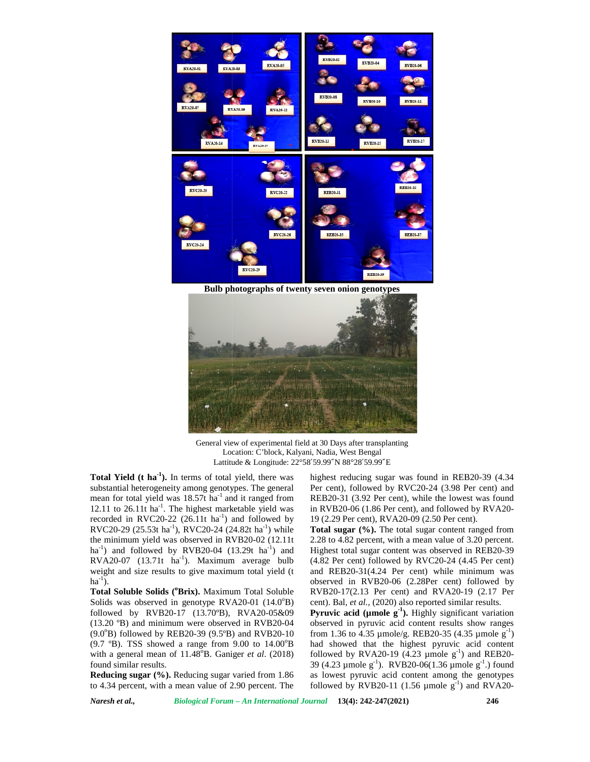

**Bulb photographs of twenty seven onion genotypes**



General view of experimental field at 30 Days after transplanting Location: C'block, Kalyani, Nadia, West Bengal Lattitude & Longitude: 22°58′59.99″N 88°28′59.99″E

**Total Yield (t ha-1).** In terms of total yield, there was substantial heterogeneity among genotypes. The general mean for total yield was  $18.57t$  ha<sup>-1</sup> and it ranged from REB20-31<br>12.11 to 26.11t ha<sup>-1</sup>. The bighest marketable yield was in PVP20. 12.11 to  $26.11t$  ha<sup>-1</sup>. The highest marketable yield was in 1 recorded in RVC20-22  $(26.11t \text{ ha}^{-1})$  and followed by 19 $(2)$ RVC20-29 (25.53t ha<sup>-1</sup>), RVC20-24 (24.82t ha<sup>-1</sup>) while the minimum yield was observed in RVB20-02 (12.11t  $ha^{-1}$ ) and followed by RVB20-04 (13.29t  $ha^{-1}$ ) and Higher  $RVA20-07$  (13.71t ha<sup>-1</sup>). Maximum average bulb RVA20-07 (13.71t ha<sup>-1</sup>). Maximum average bulb (<br>weight and size results to give maximum total yield (t a<br>ha<sup>-1</sup>).  $ha^{-1}$ ). **Field (t ha**<sup>-1</sup>). In terms of total yield, there was<br>tial heterogeneity among genotypes. The general<br>por total yield was 18.57t ha<sup>-1</sup> and it ranged from<br>Fo 26.11t ha<sup>-1</sup>. The highest marketable yield was<br>in RVC20-22 (2 12.11 to 26.11t ha<sup>-1</sup>. The highest marketable<br>recorded in RVC20-22 (26.11t ha<sup>-1</sup>) and fol<br>RVC20-29 (25.53t ha<sup>-1</sup>), RVC20-24 (24.82t h<br>the minimum yield was observed in RVB20-0<br>ha<sup>-1</sup>) and followed by RVB20-04 (13.29t<br>B

**Total Soluble Solids (<sup>o</sup>Brix).** Maximum Total Soluble Solids was observed in genotype  $RVA20-01$  (14.0 $^{\circ}B$ ) **Total Soluble Solids (°Brix).** Maximum Total Soluble RVB<br>Solids was observed in genotype RVA20-01 (14.0°B) cent).<br>followed by RVB20-17 (13.70°B), RVA20-05&09 **Pyru** (13.20 ºB) and minimum were observed in RVB20-04  $(9.0^{\circ}B)$  followed by REB20-39  $(9.5^{\circ}B)$  and RVB20-10 from (9.7 °B). TSS showed a range from 9.00 to  $14.00^{\circ}$ B with a general mean of  $11.48^{\circ}$ B. Ganiger *et al.* (2018) for found similar results. **Soluble Solids (<sup>o</sup>Brix).** Maximum Total was observed in genotype RVA20-01 (d by RVB20-17 (13.70°B), RVA20<sup>9</sup>B) and minimum were observed in RV followed by REB20-39 (9.5°B) and RV ). TSS showed a range from 9.00 to (9.7 °B). TSS showed a range from 9.00 with a general mean of  $11.48^{\circ}$ B. Ganiger found similar results.<br>**Reducing sugar (%).** Reducing sugar variatio 4.34 percent, with a mean value of 2.90

**Reducing sugar (%).** Reducing sugar varied from 1.86 as lo to 4.34 percent, with a mean value of 2.90 percent. The follo

highest reducing sugar was found in REB20-39 (4.34 Per cent), followed by RVC20-24 (3.98 Per cent) and REB20-31 (3.92 Per cent), while the lowest was found in RVB20-06 (1.86 Per cent), and followed by RVA20- 19 (2.29 Per cent), RVA20-09 (2.50 Per cent). highest reducing sugar was found in REB20-39 (4.34<br>Per cent), followed by RVC20-24 (3.98 Per cent) and<br>REB20-31 (3.92 Per cent), while the lowest was found<br>in RVB20-06 (1.86 Per cent), and followed by RVA20-

**Total sugar (%).** The total sugar content ranged from 2.28 to 4.82 percent, with a mean value of 3.20 percent. Highest total sugar content was observed in REB20-39 (4.82 Per cent) followed by RVC20-24 (4.45 Per cent) and REB20-31(4.24 Per cent) while minimum was observed in RVB20-06 (2.28Per cent) followed by followed RVB20-17(2.13 Per cent) and RVA20-19 (2.17 Per cent). Bal, *et al.*, (2020) also reported similar results. to 4.82 percent, with a mean value of 3.20 percent.<br>est total sugar content was observed in REB20-39<br>Per cent) followed by RVC20-24 (4.45 Per cent)<br>REB20-31(4.24 Per cent) while minimum was

**Pyruvic acid (µmole g<sup>-1</sup>).** Highly significant variation observed in pyruvic acid content results show ranges from 1.36 to 4.35  $\mu$ mole/g. REB20-35 (4.35  $\mu$ mole g<sup>-1</sup>) **Pyruvic acid (µmole g<sup>-1</sup>).** Highly significant variation observed in pyruvic acid content results show ranges from 1.36 to 4.35 µmole/g. REB20-35 (4.35 µmole g<sup>-1</sup>) had showed that the highest pyruvic acid content followed by RVA20-19 (4.23  $\mu$ mole g<sup>-1</sup>) and REB20followed by RVA20-19 (4.23  $\mu$ mole g<sup>-1</sup>) and REB20-<br>39 (4.23  $\mu$ mole g<sup>-1</sup>). RVB20-06(1.36  $\mu$ mole g<sup>-1</sup>.) found as lowest pyruvic acid content among the genotypes followed by  $RVB20-11$  (1.56  $\mu$ mole  $g^{-1}$ ) and  $RVA20$ followed by RVB20-11 (1.56  $\mu$ mole g<sup>-1</sup>) and RVA20-